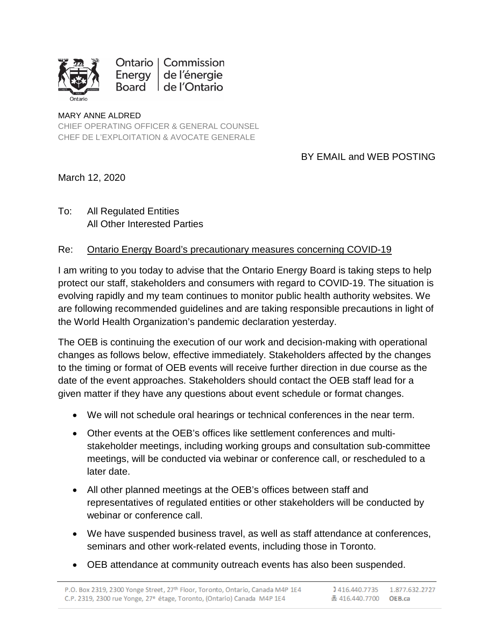

Ontario | Commission Energy de l'énergie Board de l'Ontario

## MARY ANNE ALDRED CHIEF OPERATING OFFICER & GENERAL COUNSEL CHEF DE L'EXPLOITATION & AVOCATE GENERALE

## BY EMAIL and WEB POSTING

March 12, 2020

To: All Regulated Entities All Other Interested Parties

## Re: Ontario Energy Board's precautionary measures concerning COVID-19

I am writing to you today to advise that the Ontario Energy Board is taking steps to help protect our staff, stakeholders and consumers with regard to COVID-19. The situation is evolving rapidly and my team continues to monitor public health authority websites. We are following recommended guidelines and are taking responsible precautions in light of the World Health Organization's pandemic declaration yesterday.

The OEB is continuing the execution of our work and decision-making with operational changes as follows below, effective immediately. Stakeholders affected by the changes to the timing or format of OEB events will receive further direction in due course as the date of the event approaches. Stakeholders should contact the OEB staff lead for a given matter if they have any questions about event schedule or format changes.

- We will not schedule oral hearings or technical conferences in the near term.
- Other events at the OEB's offices like settlement conferences and multistakeholder meetings, including working groups and consultation sub-committee meetings, will be conducted via webinar or conference call, or rescheduled to a later date.
- All other planned meetings at the OEB's offices between staff and representatives of regulated entities or other stakeholders will be conducted by webinar or conference call.
- We have suspended business travel, as well as staff attendance at conferences, seminars and other work-related events, including those in Toronto.
- OEB attendance at community outreach events has also been suspended.